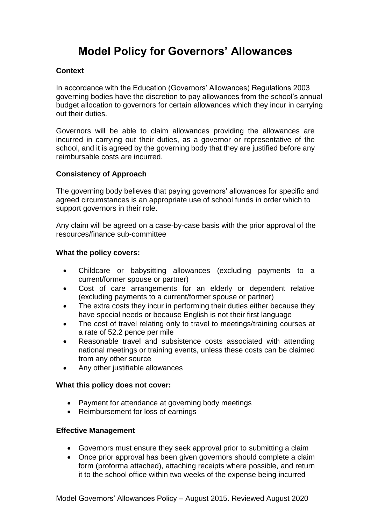# **Model Policy for Governors' Allowances**

# **Context**

In accordance with the Education (Governors' Allowances) Regulations 2003 governing bodies have the discretion to pay allowances from the school's annual budget allocation to governors for certain allowances which they incur in carrying out their duties.

Governors will be able to claim allowances providing the allowances are incurred in carrying out their duties, as a governor or representative of the school, and it is agreed by the governing body that they are justified before any reimbursable costs are incurred.

# **Consistency of Approach**

The governing body believes that paying governors' allowances for specific and agreed circumstances is an appropriate use of school funds in order which to support governors in their role.

Any claim will be agreed on a case-by-case basis with the prior approval of the resources/finance sub-committee

#### **What the policy covers:**

- Childcare or babysitting allowances (excluding payments to a current/former spouse or partner)
- Cost of care arrangements for an elderly or dependent relative (excluding payments to a current/former spouse or partner)
- The extra costs they incur in performing their duties either because they have special needs or because English is not their first language
- The cost of travel relating only to travel to meetings/training courses at a rate of 52.2 pence per mile
- Reasonable travel and subsistence costs associated with attending national meetings or training events, unless these costs can be claimed from any other source
- Any other justifiable allowances

#### **What this policy does not cover:**

- Payment for attendance at governing body meetings
- Reimbursement for loss of earnings

#### **Effective Management**

- Governors must ensure they seek approval prior to submitting a claim
- Once prior approval has been given governors should complete a claim form (proforma attached), attaching receipts where possible, and return it to the school office within two weeks of the expense being incurred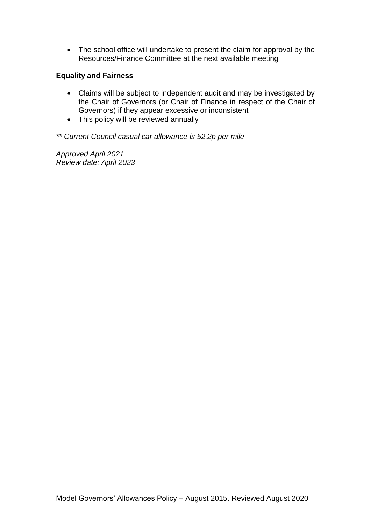• The school office will undertake to present the claim for approval by the Resources/Finance Committee at the next available meeting

# **Equality and Fairness**

- Claims will be subject to independent audit and may be investigated by the Chair of Governors (or Chair of Finance in respect of the Chair of Governors) if they appear excessive or inconsistent
- This policy will be reviewed annually

*\*\* Current Council casual car allowance is 52.2p per mile*

*Approved April 2021 Review date: April 2023*